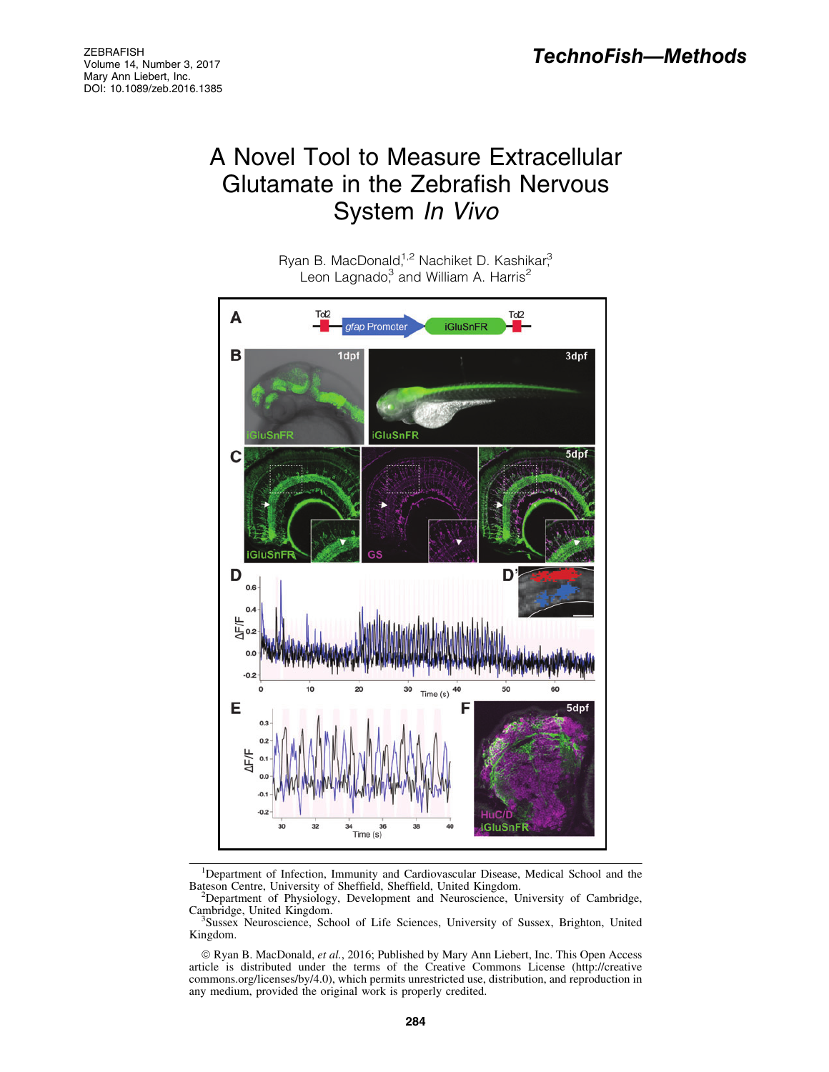# A Novel Tool to Measure Extracellular Glutamate in the Zebrafish Nervous System In Vivo

Ryan B. MacDonald,<sup>1,2</sup> Nachiket D. Kashikar,<sup>3</sup> Leon Lagnado,<sup>3</sup> and William A. Harris<sup>2</sup>



<sup>&</sup>lt;sup>1</sup>Department of Infection, Immunity and Cardiovascular Disease, Medical School and the Bateson Centre, University of Sheffield, Sheffield, United Kingdom. <sup>2</sup>

<sup>&</sup>lt;sup>2</sup>Department of Physiology, Development and Neuroscience, University of Cambridge, Cambridge, United Kingdom. <sup>3</sup>

Sussex Neuroscience, School of Life Sciences, University of Sussex, Brighton, United Kingdom.

ª Ryan B. MacDonald, *et al.*, 2016; Published by Mary Ann Liebert, Inc. This Open Access article is distributed under the terms of the Creative Commons License (http://creative commons.org/licenses/by/4.0), which permits unrestricted use, distribution, and reproduction in any medium, provided the original work is properly credited.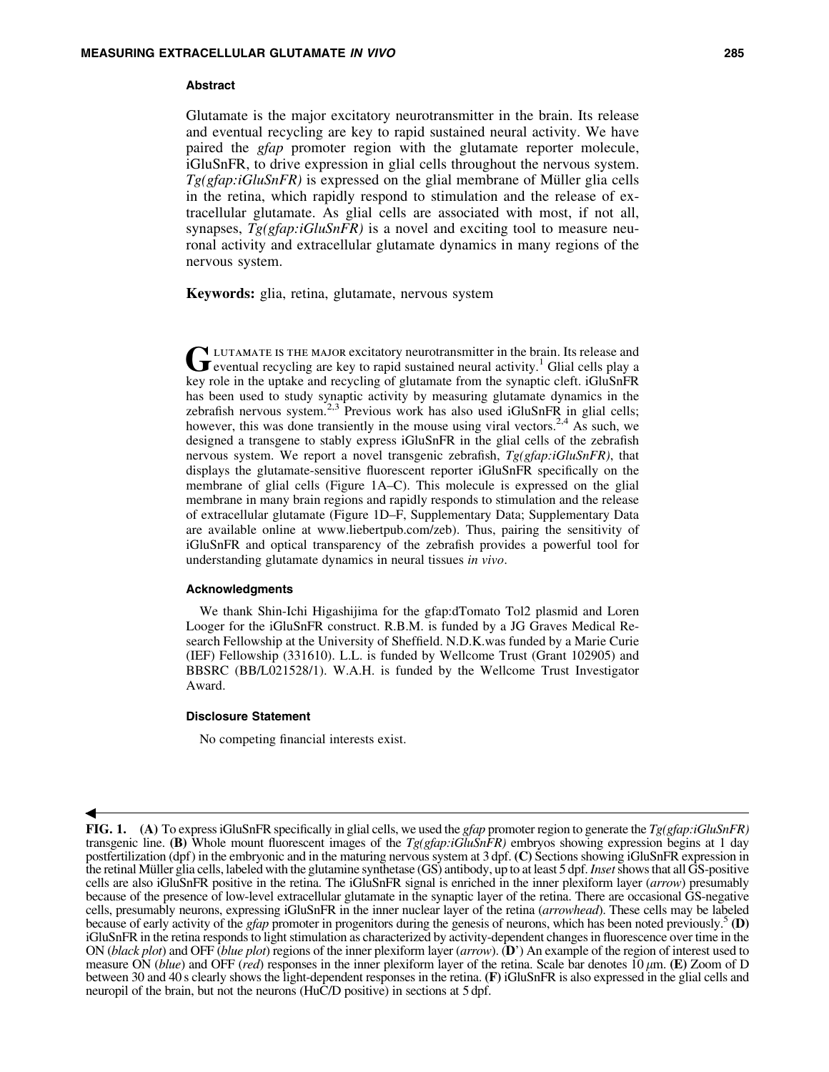#### Abstract

Glutamate is the major excitatory neurotransmitter in the brain. Its release and eventual recycling are key to rapid sustained neural activity. We have paired the *gfap* promoter region with the glutamate reporter molecule, iGluSnFR, to drive expression in glial cells throughout the nervous system.  $Tg(gfap:iGluSnFR)$  is expressed on the glial membrane of Müller glia cells in the retina, which rapidly respond to stimulation and the release of extracellular glutamate. As glial cells are associated with most, if not all, synapses,  $Tg(gfap:iGluSnFR)$  is a novel and exciting tool to measure neuronal activity and extracellular glutamate dynamics in many regions of the nervous system.

Keywords: glia, retina, glutamate, nervous system

GLUTAMATE IS THE MAJOR excitatory neurotransmitter in the brain. Its release and eventual recycling are key to rapid sustained neural activity.<sup>1</sup> Glial cells play a key role in the uptake and recycling of glutamate from the synaptic cleft. iGluSnFR has been used to study synaptic activity by measuring glutamate dynamics in the zebrafish nervous system. $2.3$  Previous work has also used iGluSnFR in glial cells; however, this was done transiently in the mouse using viral vectors.<sup>2,4</sup> As such, we designed a transgene to stably express iGluSnFR in the glial cells of the zebrafish nervous system. We report a novel transgenic zebrafish, *Tg(gfap:iGluSnFR)*, that displays the glutamate-sensitive fluorescent reporter iGluSnFR specifically on the membrane of glial cells (Figure 1A–C). This molecule is expressed on the glial membrane in many brain regions and rapidly responds to stimulation and the release of extracellular glutamate (Figure 1D–F, Supplementary Data; Supplementary Data are available online at www.liebertpub.com/zeb). Thus, pairing the sensitivity of iGluSnFR and optical transparency of the zebrafish provides a powerful tool for understanding glutamate dynamics in neural tissues *in vivo*.

## Acknowledgments

We thank Shin-Ichi Higashijima for the gfap:dTomato Tol2 plasmid and Loren Looger for the iGluSnFR construct. R.B.M. is funded by a JG Graves Medical Research Fellowship at the University of Sheffield. N.D.K.was funded by a Marie Curie (IEF) Fellowship (331610). L.L. is funded by Wellcome Trust (Grant 102905) and BBSRC (BB/L021528/1). W.A.H. is funded by the Wellcome Trust Investigator Award.

## Disclosure Statement

 $\blacktriangleleft$ 

No competing financial interests exist.

FIG. 1. (A) To express iGluSnFR specifically in glial cells, we used the *gfap* promoter region to generate the *Tg(gfap:iGluSnFR)* transgenic line. (B) Whole mount fluorescent images of the *Tg(gfap:iGluSnFR)* embryos showing expression begins at 1 day postfertilization (dpf) in the embryonic and in the maturing nervous system at 3 dpf. (C) Sections showing iGluSnFR expression in the retinal Mu¨ller glia cells, labeled with the glutamine synthetase (GS) antibody, up to at least 5 dpf.*Inset*shows that all GS-positive cells are also iGluSnFR positive in the retina. The iGluSnFR signal is enriched in the inner plexiform layer (*arrow*) presumably because of the presence of low-level extracellular glutamate in the synaptic layer of the retina. There are occasional GS-negative cells, presumably neurons, expressing iGluSnFR in the inner nuclear layer of the retina (*arrowhead*). These cells may be labeled because of early activity of the *gfap* promoter in progenitors during the genesis of neurons, which has been noted previously.<sup>5</sup> (D) iGluSnFR in the retina responds to light stimulation as characterized by activity-dependent changes in fluorescence over time in the ON (*black plot*) and OFF (*blue plot*) regions of the inner plexiform layer (*arrow*). (D') An example of the region of interest used to measure ON (*blue*) and OFF (*red*) responses in the inner plexiform layer of the retina. Scale bar denotes 10  $\mu$ m. (E) Zoom of D between 30 and 40 s clearly shows the light-dependent responses in the retina. (F) iGluSnFR is also expressed in the glial cells and neuropil of the brain, but not the neurons (HuC/D positive) in sections at 5 dpf.